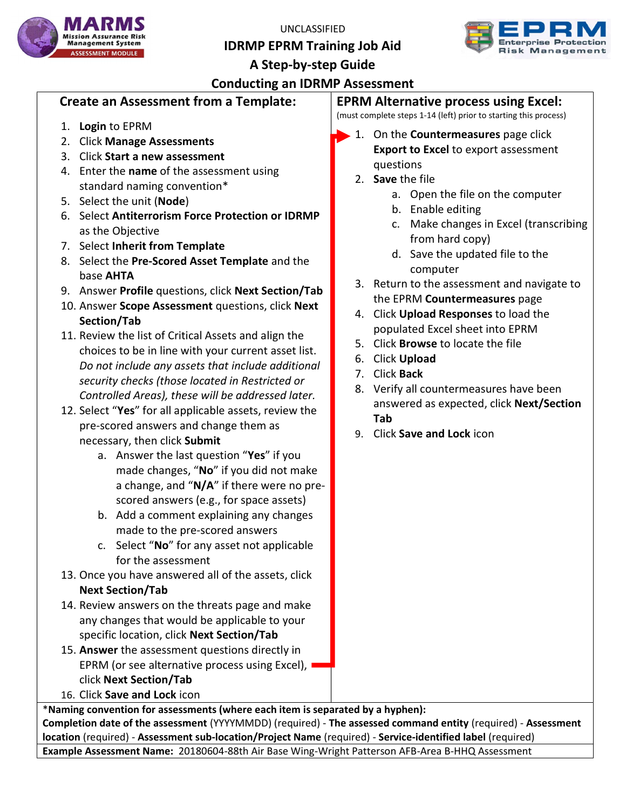UNCLASSIFIED

IDRMP EPRM Training Job Aid





## Conducting an IDRMP Assessment

#### Create an Assessment from a Template:

- 1. Login to EPRM
- 2. Click Manage Assessments
- 3. Click Start a new assessment
- 4. Enter the name of the assessment using standard naming convention\*
- 5. Select the unit (Node)
- 6. Select Antiterrorism Force Protection or IDRMP as the Objective
- 7. Select Inherit from Template
- 8. Select the Pre-Scored Asset Template and the base AHTA
- 9. Answer Profile questions, click Next Section/Tab
- 10. Answer Scope Assessment questions, click Next Section/Tab
- 11. Review the list of Critical Assets and align the choices to be in line with your current asset list. Do not include any assets that include additional security checks (those located in Restricted or Controlled Areas), these will be addressed later.
- 12. Select "Yes" for all applicable assets, review the pre-scored answers and change them as necessary, then click Submit
	- a. Answer the last question "Yes" if you made changes, "No" if you did not make a change, and " $N/A$ " if there were no prescored answers (e.g., for space assets)
	- b. Add a comment explaining any changes made to the pre-scored answers
	- c. Select "No" for any asset not applicable for the assessment
- 13. Once you have answered all of the assets, click Next Section/Tab
- 14. Review answers on the threats page and make any changes that would be applicable to your specific location, click Next Section/Tab
- 15. Answer the assessment questions directly in EPRM (or see alternative process using Excel), click Next Section/Tab
- 16. Click Save and Lock icon

EPRM Alternative process using Excel:

(must complete steps 1-14 (left) prior to starting this process)

- 1. On the Countermeasures page click Export to Excel to export assessment questions
	- 2. Save the file
		- a. Open the file on the computer
		- b. Enable editing
		- c. Make changes in Excel (transcribing from hard copy)
		- d. Save the updated file to the computer
	- 3. Return to the assessment and navigate to the EPRM Countermeasures page
	- 4. Click Upload Responses to load the populated Excel sheet into EPRM
	- 5. Click Browse to locate the file
	- 6. Click Upload
	- 7. Click Back
	- 8. Verify all countermeasures have been answered as expected, click Next/Section Tab
	- 9. Click Save and Lock icon

\*Naming convention for assessments (where each item is separated by a hyphen): Completion date of the assessment (YYYYMMDD) (required) - The assessed command entity (required) - Assessment location (required) - Assessment sub-location/Project Name (required) - Service-identified label (required) Example Assessment Name: 20180604-88th Air Base Wing-Wright Patterson AFB-Area B-HHQ Assessment